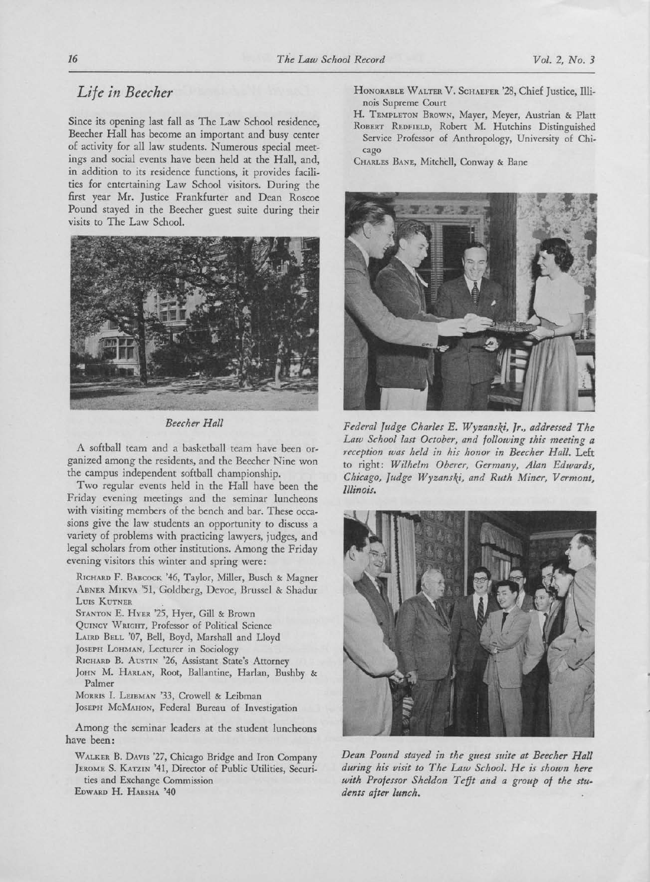## Life in Beecher

Since its opening last fall as The Law School residence, Beecher Hall has become an important and busy center of activity for all law students. Numerous special meetings and social events have been held at the Hall, and, in addition to its residence functions, it provides facilities for entertaining Law School visitors. During the first year Mr. Justice Frankfurter and Dean Roscoe Pound stayed in the Beecher guest suite during their visits to The Law School.



Beecher Hall

A softball team and <sup>a</sup> basketball team have been organized among the residents, and the Beecher Nine won the campus independent softball championship.

Two regular events held in the Hall have been the Friday evening meetings and the seminar luncheons with visiting members of the bench and bar. These occasions give the law students an opportunity to discuss <sup>a</sup> variety of problems with practicing lawyers, judges, and legal scholars from other institutions. Among the Friday evening visitors this winter and spring were:

RICHARD F. BABCOCK '46, Taylor, Miller, Busch & Magner ABNER MIKVA '51, Goldberg, Devoe, Brussel & Shadur LUIS KUTNER

STANTON E. HYER '25, Hyer, Gill & Brown

- QUINCY \\'RIGHT, Professor of Political Science
- LAIRD BELL '07, Bell, Boyd, Marshall and Lloyd
- JOSEPH LOHMAN, Lecturer in Sociology
- RICHARD B. AUSTIN '26, Assistant State's Attorney
- JOHN M. HARLAN, Root, Ballantine, Harlan, Bushby & Palmer

MORRIS I. LEIBMAN '33, Crowell & Leibman

JOSEPH McMAHON, Federal Bureau of Investigation

Among the seminar leaders at the student luncheons have been:

WALKER B. DAVIS '27, Chicago Bridge and Iron Company JEROME S. KATZIN '41, Director of Public Utilities, Securities and Exchange Commission EDWARD H. HARSHA '40

- HONORABLE WALTER V. SCHAEFER '28, Chief Justice, Illinois Supreme Court
- H. TEMPLETON BROWN, Mayer, Meyer, Austrian & Platt ROBERT REDFIELD, Robert M. Hutchins Distinguished Service Professor of Anthropology, University of Chicago

CHARLES BANE, Mitchell, Conway & Bane



Federal Judge Charles E. Wyzanski, Jr., addressed The Law School last October, and following this meeting <sup>a</sup> reception was held in his honor in Beecher Hall. Left to right: Wilhelm Oberer, Germany, Alan Edwards, Chicago, Judge Wyzanski, and Ruth Miner, Vermont, Illinois.



Dean Pound stayed in the guest suite at Beecher Hall during his visit to The Law School. He is shown here with Professor Sheldon Tefft and <sup>a</sup> group of the students after lunch.